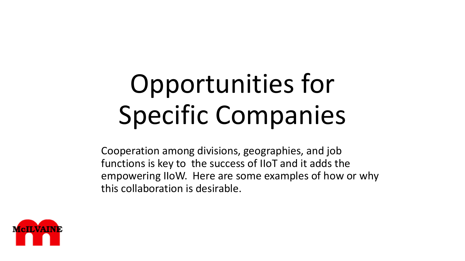# Opportunities for Specific Companies

Cooperation among divisions, geographies, and job functions is key to the success of IIoT and it adds the empowering IIoW. Here are some examples of how or why this collaboration is desirable.

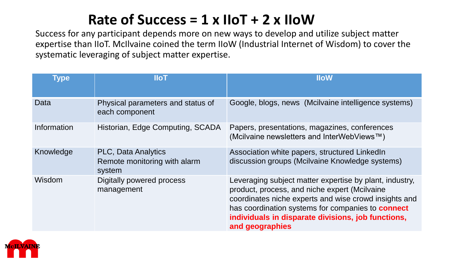#### **Rate of Success = 1 x IIoT + 2 x IIoW**

Success for any participant depends more on new ways to develop and utilize subject matter expertise than IIoT. McIlvaine coined the term IIoW (Industrial Internet of Wisdom) to cover the systematic leveraging of subject matter expertise.

| <b>Type</b>   | <b>IIoT</b>                                                          | <b>IloW</b>                                                                                                                                                                                                                                                                                            |
|---------------|----------------------------------------------------------------------|--------------------------------------------------------------------------------------------------------------------------------------------------------------------------------------------------------------------------------------------------------------------------------------------------------|
| Data          | Physical parameters and status of<br>each component                  | Google, blogs, news (Mcilvaine intelligence systems)                                                                                                                                                                                                                                                   |
| Information   | Historian, Edge Computing, SCADA                                     | Papers, presentations, magazines, conferences<br>(Mcilvaine newsletters and InterWebViews™)                                                                                                                                                                                                            |
| Knowledge     | <b>PLC, Data Analytics</b><br>Remote monitoring with alarm<br>system | Association white papers, structured LinkedIn<br>discussion groups (Mcilvaine Knowledge systems)                                                                                                                                                                                                       |
| <b>Wisdom</b> | Digitally powered process<br>management                              | Leveraging subject matter expertise by plant, industry,<br>product, process, and niche expert (Mcilvaine<br>coordinates niche experts and wise crowd insights and<br>has coordination systems for companies to <b>connect</b><br>individuals in disparate divisions, job functions,<br>and geographies |

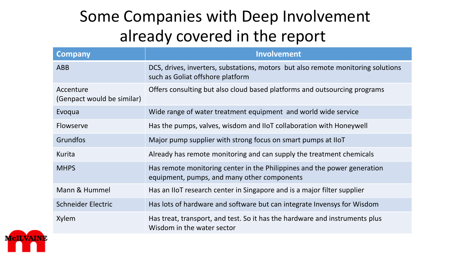# Some Companies with Deep Involvement already covered in the report

| <b>Company</b>                          | <b>Involvement</b>                                                                                                      |
|-----------------------------------------|-------------------------------------------------------------------------------------------------------------------------|
| <b>ABB</b>                              | DCS, drives, inverters, substations, motors but also remote monitoring solutions<br>such as Goliat offshore platform    |
| Accenture<br>(Genpact would be similar) | Offers consulting but also cloud based platforms and outsourcing programs                                               |
| Evoqua                                  | Wide range of water treatment equipment and world wide service                                                          |
| Flowserve                               | Has the pumps, valves, wisdom and IIoT collaboration with Honeywell                                                     |
| Grundfos                                | Major pump supplier with strong focus on smart pumps at IIoT                                                            |
| Kurita                                  | Already has remote monitoring and can supply the treatment chemicals                                                    |
| <b>MHPS</b>                             | Has remote monitoring center in the Philippines and the power generation<br>equipment, pumps, and many other components |
| Mann & Hummel                           | Has an IIoT research center in Singapore and is a major filter supplier                                                 |
| Schneider Electric                      | Has lots of hardware and software but can integrate Invensys for Wisdom                                                 |
| Xylem                                   | Has treat, transport, and test. So it has the hardware and instruments plus<br>Wisdom in the water sector               |

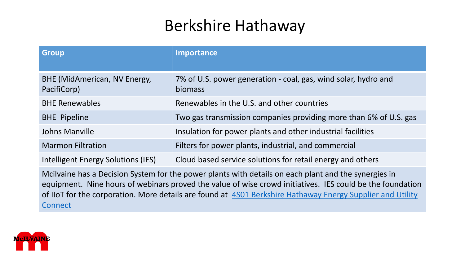## Berkshire Hathaway

| <b>Group</b>                                | Importance                                                                |
|---------------------------------------------|---------------------------------------------------------------------------|
| BHE (MidAmerican, NV Energy,<br>PacifiCorp) | 7% of U.S. power generation - coal, gas, wind solar, hydro and<br>biomass |
| <b>BHE Renewables</b>                       | Renewables in the U.S. and other countries                                |
| <b>BHE Pipeline</b>                         | Two gas transmission companies providing more than 6% of U.S. gas         |
| Johns Manville                              | Insulation for power plants and other industrial facilities               |
| <b>Marmon Filtration</b>                    | Filters for power plants, industrial, and commercial                      |
| Intelligent Energy Solutions (IES)          | Cloud based service solutions for retail energy and others                |
|                                             |                                                                           |

Mcilvaine has a Decision System for the power plants with details on each plant and the synergies in equipment. Nine hours of webinars proved the value of wise crowd initiatives. IES could be the foundation of IIoT [for the corporation. More details are found at 4S01](http://home.mcilvainecompany.com/index.php/decisions/28-energy/1185-4s01) Berkshire Hathaway Energy Supplier and Utility **Connect** 

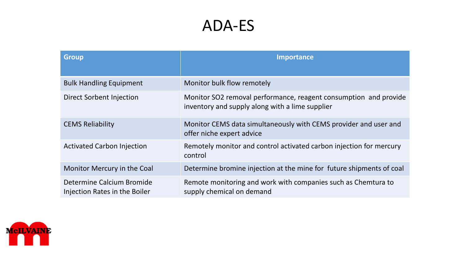### ADA-ES

| <b>Group</b>                                               | <b>Importance</b>                                                                                                   |
|------------------------------------------------------------|---------------------------------------------------------------------------------------------------------------------|
|                                                            |                                                                                                                     |
| <b>Bulk Handling Equipment</b>                             | Monitor bulk flow remotely                                                                                          |
| Direct Sorbent Injection                                   | Monitor SO2 removal performance, reagent consumption and provide<br>inventory and supply along with a lime supplier |
| <b>CEMS Reliability</b>                                    | Monitor CEMS data simultaneously with CEMS provider and user and<br>offer niche expert advice                       |
| <b>Activated Carbon Injection</b>                          | Remotely monitor and control activated carbon injection for mercury<br>control                                      |
| Monitor Mercury in the Coal                                | Determine bromine injection at the mine for future shipments of coal                                                |
| Determine Calcium Bromide<br>Injection Rates in the Boiler | Remote monitoring and work with companies such as Chemtura to<br>supply chemical on demand                          |

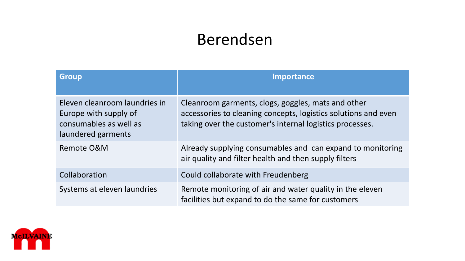## Berendsen

| <b>Group</b>                                                                                           | <b>Importance</b>                                                                                                                                                                |
|--------------------------------------------------------------------------------------------------------|----------------------------------------------------------------------------------------------------------------------------------------------------------------------------------|
| Eleven cleanroom laundries in<br>Europe with supply of<br>consumables as well as<br>laundered garments | Cleanroom garments, clogs, goggles, mats and other<br>accessories to cleaning concepts, logistics solutions and even<br>taking over the customer's internal logistics processes. |
| Remote O&M                                                                                             | Already supplying consumables and can expand to monitoring<br>air quality and filter health and then supply filters                                                              |
| Collaboration                                                                                          | Could collaborate with Freudenberg                                                                                                                                               |
| Systems at eleven laundries                                                                            | Remote monitoring of air and water quality in the eleven<br>facilities but expand to do the same for customers                                                                   |

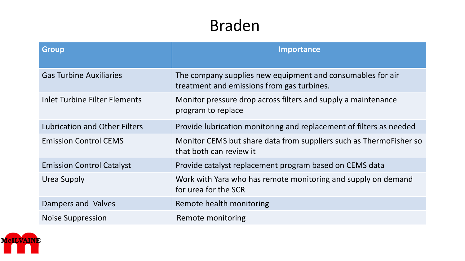## Braden

| <b>Group</b>                         | Importance                                                                                               |
|--------------------------------------|----------------------------------------------------------------------------------------------------------|
| <b>Gas Turbine Auxiliaries</b>       | The company supplies new equipment and consumables for air<br>treatment and emissions from gas turbines. |
| Inlet Turbine Filter Elements        | Monitor pressure drop across filters and supply a maintenance<br>program to replace                      |
| <b>Lubrication and Other Filters</b> | Provide lubrication monitoring and replacement of filters as needed                                      |
| <b>Emission Control CEMS</b>         | Monitor CEMS but share data from suppliers such as ThermoFisher so<br>that both can review it            |
| <b>Emission Control Catalyst</b>     | Provide catalyst replacement program based on CEMS data                                                  |
| Urea Supply                          | Work with Yara who has remote monitoring and supply on demand<br>for urea for the SCR                    |
| Dampers and Valves                   | Remote health monitoring                                                                                 |
| <b>Noise Suppression</b>             | Remote monitoring                                                                                        |

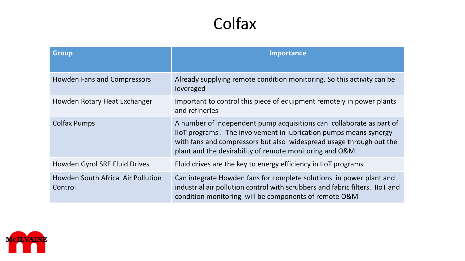## Colfax

| <b>Group</b>                                 | <b>Importance</b>                                                                                                                                                                                                                                                           |
|----------------------------------------------|-----------------------------------------------------------------------------------------------------------------------------------------------------------------------------------------------------------------------------------------------------------------------------|
| <b>Howden Fans and Compressors</b>           | Already supplying remote condition monitoring. So this activity can be<br>leveraged                                                                                                                                                                                         |
| Howden Rotary Heat Exchanger                 | Important to control this piece of equipment remotely in power plants<br>and refineries                                                                                                                                                                                     |
| <b>Colfax Pumps</b>                          | A number of independent pump acquisitions can collaborate as part of<br>IIoT programs. The involvement in lubrication pumps means synergy<br>with fans and compressors but also widespread usage through out the<br>plant and the desirability of remote monitoring and O&M |
| Howden Gyrol SRE Fluid Drives                | Fluid drives are the key to energy efficiency in IIoT programs                                                                                                                                                                                                              |
| Howden South Africa Air Pollution<br>Control | Can integrate Howden fans for complete solutions in power plant and<br>industrial air pollution control with scrubbers and fabric filters. IIoT and<br>condition monitoring will be components of remote O&M                                                                |

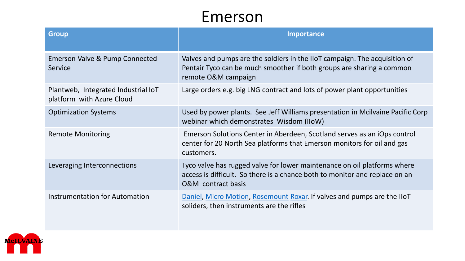#### Emerson

| <b>Group</b>                                                     | <b>Importance</b>                                                                                                                                                                        |
|------------------------------------------------------------------|------------------------------------------------------------------------------------------------------------------------------------------------------------------------------------------|
| Emerson Valve & Pump Connected<br>Service                        | Valves and pumps are the soldiers in the IIoT campaign. The acquisition of<br>Pentair Tyco can be much smoother if both groups are sharing a common<br>remote O&M campaign               |
| Plantweb, Integrated Industrial IoT<br>platform with Azure Cloud | Large orders e.g. big LNG contract and lots of power plant opportunities                                                                                                                 |
| <b>Optimization Systems</b>                                      | Used by power plants. See Jeff Williams presentation in Mcilvaine Pacific Corp<br>webinar which demonstrates Wisdom (IIoW)                                                               |
| <b>Remote Monitoring</b>                                         | Emerson Solutions Center in Aberdeen, Scotland serves as an iOps control<br>center for 20 North Sea platforms that Emerson monitors for oil and gas<br>customers.                        |
| Leveraging Interconnections                                      | Tyco valve has rugged valve for lower maintenance on oil platforms where<br>access is difficult. So there is a chance both to monitor and replace on an<br><b>O&amp;M</b> contract basis |
| <b>Instrumentation for Automation</b>                            | Daniel, Micro Motion, Rosemount Roxar. If valves and pumps are the IIoT<br>soliders, then instruments are the rifles                                                                     |

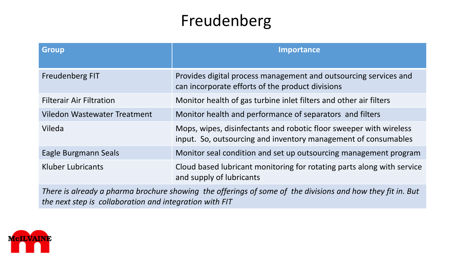# Freudenberg

| <b>Group</b>                    | <b>Importance</b>                                                                                                                    |
|---------------------------------|--------------------------------------------------------------------------------------------------------------------------------------|
| <b>Freudenberg FIT</b>          | Provides digital process management and outsourcing services and<br>can incorporate efforts of the product divisions                 |
| <b>Filterair Air Filtration</b> | Monitor health of gas turbine inlet filters and other air filters                                                                    |
| Viledon Wastewater Treatment    | Monitor health and performance of separators and filters                                                                             |
| Vileda                          | Mops, wipes, disinfectants and robotic floor sweeper with wireless<br>input. So, outsourcing and inventory management of consumables |
| <b>Eagle Burgmann Seals</b>     | Monitor seal condition and set up outsourcing management program                                                                     |
| Kluber Lubricants               | Cloud based lubricant monitoring for rotating parts along with service<br>and supply of lubricants                                   |

*There is already a pharma brochure showing the offerings of some of the divisions and how they fit in. But the next step is collaboration and integration with FIT*

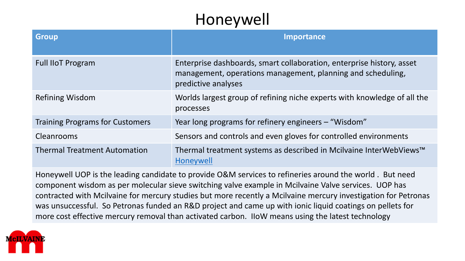# Honeywell

| <b>Group</b>                           | <b>Importance</b>                                                                                                                                           |
|----------------------------------------|-------------------------------------------------------------------------------------------------------------------------------------------------------------|
| <b>Full IIoT Program</b>               | Enterprise dashboards, smart collaboration, enterprise history, asset<br>management, operations management, planning and scheduling,<br>predictive analyses |
| Refining Wisdom                        | Worlds largest group of refining niche experts with knowledge of all the<br>processes                                                                       |
| <b>Training Programs for Customers</b> | Year long programs for refinery engineers – "Wisdom"                                                                                                        |
| Cleanrooms                             | Sensors and controls and even gloves for controlled environments                                                                                            |
| <b>Thermal Treatment Automation</b>    | Thermal treatment systems as described in Mcilvaine InterWebViews™<br><b>Honeywell</b>                                                                      |

Honeywell UOP is the leading candidate to provide O&M services to refineries around the world . But need component wisdom as per molecular sieve switching valve example in Mcilvaine Valve services. UOP has contracted with Mcilvaine for mercury studies but more recently a Mcilvaine mercury investigation for Petronas was unsuccessful. So Petronas funded an R&D project and came up with ionic liquid coatings on pellets for more cost effective mercury removal than activated carbon. IIoW means using the latest technology

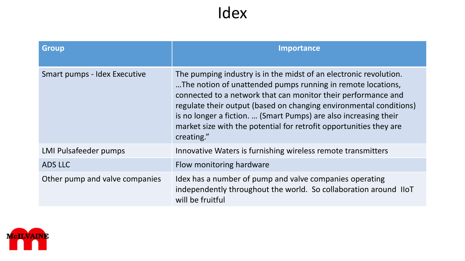#### Idex

| <b>Group</b>                   | <b>Importance</b>                                                                                                                                                                                                                                                                                                                                                                                                               |
|--------------------------------|---------------------------------------------------------------------------------------------------------------------------------------------------------------------------------------------------------------------------------------------------------------------------------------------------------------------------------------------------------------------------------------------------------------------------------|
| Smart pumps - Idex Executive   | The pumping industry is in the midst of an electronic revolution.<br>The notion of unattended pumps running in remote locations,<br>connected to a network that can monitor their performance and<br>regulate their output (based on changing environmental conditions)<br>is no longer a fiction.  (Smart Pumps) are also increasing their<br>market size with the potential for retrofit opportunities they are<br>creating." |
| <b>LMI Pulsafeeder pumps</b>   | Innovative Waters is furnishing wireless remote transmitters                                                                                                                                                                                                                                                                                                                                                                    |
| ADS LLC                        | Flow monitoring hardware                                                                                                                                                                                                                                                                                                                                                                                                        |
| Other pump and valve companies | Idex has a number of pump and valve companies operating<br>independently throughout the world. So collaboration around IIoT<br>will be fruitful                                                                                                                                                                                                                                                                                 |

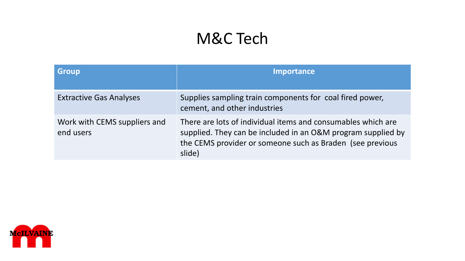## M&C Tech

| <b>Group</b>                              | <b>Importance</b>                                                                                                                                                                                   |
|-------------------------------------------|-----------------------------------------------------------------------------------------------------------------------------------------------------------------------------------------------------|
| <b>Extractive Gas Analyses</b>            | Supplies sampling train components for coal fired power,<br>cement, and other industries                                                                                                            |
| Work with CEMS suppliers and<br>end users | There are lots of individual items and consumables which are<br>supplied. They can be included in an O&M program supplied by<br>the CEMS provider or someone such as Braden (see previous<br>slide) |

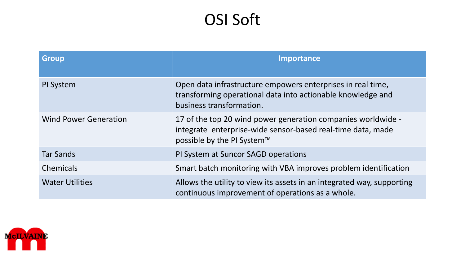# OSI Soft

| <b>Group</b>                 | <b>Importance</b>                                                                                                                                         |
|------------------------------|-----------------------------------------------------------------------------------------------------------------------------------------------------------|
| PI System                    | Open data infrastructure empowers enterprises in real time,<br>transforming operational data into actionable knowledge and<br>business transformation.    |
| <b>Wind Power Generation</b> | 17 of the top 20 wind power generation companies worldwide -<br>integrate enterprise-wide sensor-based real-time data, made<br>possible by the PI System™ |
| <b>Tar Sands</b>             | PI System at Suncor SAGD operations                                                                                                                       |
| <b>Chemicals</b>             | Smart batch monitoring with VBA improves problem identification                                                                                           |
| <b>Water Utilities</b>       | Allows the utility to view its assets in an integrated way, supporting<br>continuous improvement of operations as a whole.                                |

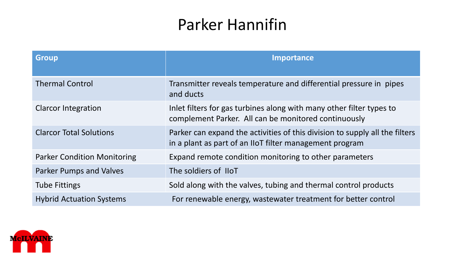# Parker Hannifin

| <b>Group</b>                       | <b>Importance</b>                                                                                                                      |
|------------------------------------|----------------------------------------------------------------------------------------------------------------------------------------|
| <b>Thermal Control</b>             | Transmitter reveals temperature and differential pressure in pipes<br>and ducts                                                        |
| <b>Clarcor Integration</b>         | Inlet filters for gas turbines along with many other filter types to<br>complement Parker. All can be monitored continuously           |
| <b>Clarcor Total Solutions</b>     | Parker can expand the activities of this division to supply all the filters<br>in a plant as part of an IIoT filter management program |
| <b>Parker Condition Monitoring</b> | Expand remote condition monitoring to other parameters                                                                                 |
| <b>Parker Pumps and Valves</b>     | The soldiers of IIoT                                                                                                                   |
| <b>Tube Fittings</b>               | Sold along with the valves, tubing and thermal control products                                                                        |
| <b>Hybrid Actuation Systems</b>    | For renewable energy, wastewater treatment for better control                                                                          |